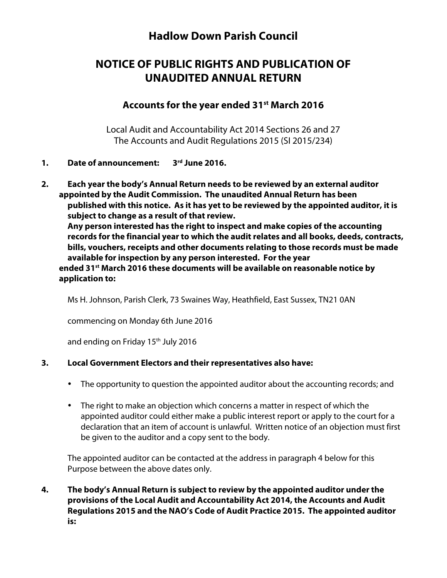## **Hadlow Down Parish Council**

# **NOTICE OF PUBLIC RIGHTS AND PUBLICATION OF UNAUDITED ANNUAL RETURN**

## **Accounts for the year ended 31st March 2016**

Local Audit and Accountability Act 2014 Sections 26 and 27 The Accounts and Audit Regulations 2015 (SI 2015/234)

### **1. Date of announcement: 3rd June 2016.**

**2. Each year the body's Annual Return needs to be reviewed by an external auditor appointed by the Audit Commission. The unaudited Annual Return has been published with this notice. As it has yet to be reviewed by the appointed auditor, it is subject to change as a result of that review. Any person interested has the right to inspect and make copies of the accounting records for the financial year to which the audit relates and all books, deeds, contracts, bills, vouchers, receipts and other documents relating to those records must be made available for inspection by any person interested. For the year ended 31st March 2016 these documents will be available on reasonable notice by application to:**

Ms H. Johnson, Parish Clerk, 73 Swaines Way, Heathfield, East Sussex, TN21 0AN

commencing on Monday 6th June 2016

and ending on Friday 15th July 2016

### **3. Local Government Electors and their representatives also have:**

- The opportunity to question the appointed auditor about the accounting records; and
- The right to make an objection which concerns a matter in respect of which the appointed auditor could either make a public interest report or apply to the court for a declaration that an item of account is unlawful. Written notice of an objection must first be given to the auditor and a copy sent to the body.

The appointed auditor can be contacted at the address in paragraph 4 below for this Purpose between the above dates only.

**4. The body's Annual Return is subject to review by the appointed auditor under the provisions of the Local Audit and Accountability Act 2014, the Accounts and Audit Regulations 2015 and the NAO's Code of Audit Practice 2015. The appointed auditor is:**